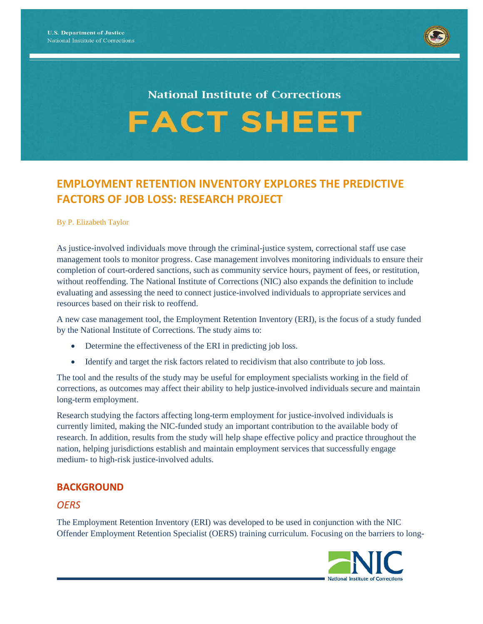

# **National Institute of Corrections FACT SHEET**

# **EMPLOYMENT RETENTION INVENTORY EXPLORES THE PREDICTIVE FACTORS OF JOB LOSS: RESEARCH PROJECT**

#### By P. Elizabeth Taylor

As justice-involved individuals move through the criminal-justice system, correctional staff use case management tools to monitor progress. Case management involves monitoring individuals to ensure their completion of court-ordered sanctions, such as community service hours, payment of fees, or restitution, without reoffending. The National Institute of Corrections (NIC) also expands the definition to include evaluating and assessing the need to connect justice-involved individuals to appropriate services and resources based on their risk to reoffend.

A new case management tool, the Employment Retention Inventory (ERI), is the focus of a study funded by the National Institute of Corrections. The study aims to:

- Determine the effectiveness of the ERI in predicting job loss.
- Identify and target the risk factors related to recidivism that also contribute to job loss.

The tool and the results of the study may be useful for employment specialists working in the field of corrections, as outcomes may affect their ability to help justice-involved individuals secure and maintain long-term employment.

Research studying the factors affecting long-term employment for justice-involved individuals is currently limited, making the NIC-funded study an important contribution to the available body of research. In addition, results from the study will help shape effective policy and practice throughout the nation, helping jurisdictions establish and maintain employment services that successfully engage medium- to high-risk justice-involved adults.

# **BACKGROUND**

### *OERS*

The Employment Retention Inventory (ERI) was developed to be used in conjunction with the NIC Offender Employment Retention Specialist (OERS) training curriculum. Focusing on the barriers to long-